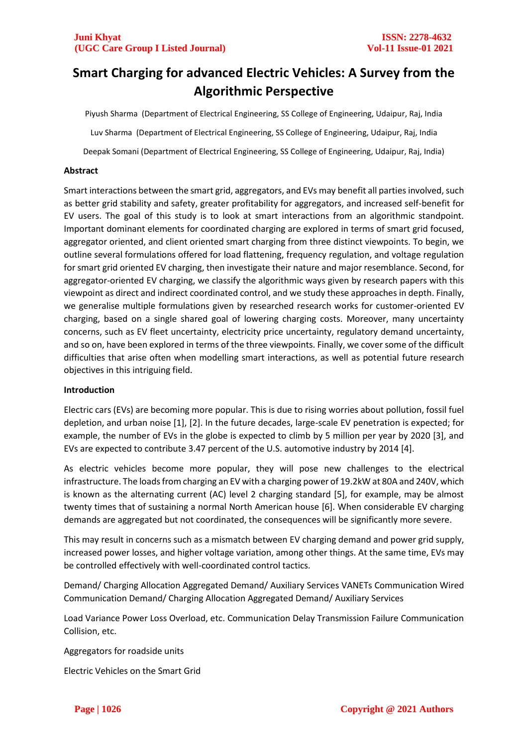# **Smart Charging for advanced Electric Vehicles: A Survey from the Algorithmic Perspective**

Piyush Sharma (Department of Electrical Engineering, SS College of Engineering, Udaipur, Raj, India Luv Sharma (Department of Electrical Engineering, SS College of Engineering, Udaipur, Raj, India Deepak Somani (Department of Electrical Engineering, SS College of Engineering, Udaipur, Raj, India)

# **Abstract**

Smart interactions between the smart grid, aggregators, and EVs may benefit all parties involved, such as better grid stability and safety, greater profitability for aggregators, and increased self-benefit for EV users. The goal of this study is to look at smart interactions from an algorithmic standpoint. Important dominant elements for coordinated charging are explored in terms of smart grid focused, aggregator oriented, and client oriented smart charging from three distinct viewpoints. To begin, we outline several formulations offered for load flattening, frequency regulation, and voltage regulation for smart grid oriented EV charging, then investigate their nature and major resemblance. Second, for aggregator-oriented EV charging, we classify the algorithmic ways given by research papers with this viewpoint as direct and indirect coordinated control, and we study these approaches in depth. Finally, we generalise multiple formulations given by researched research works for customer-oriented EV charging, based on a single shared goal of lowering charging costs. Moreover, many uncertainty concerns, such as EV fleet uncertainty, electricity price uncertainty, regulatory demand uncertainty, and so on, have been explored in terms of the three viewpoints. Finally, we cover some of the difficult difficulties that arise often when modelling smart interactions, as well as potential future research objectives in this intriguing field.

### **Introduction**

Electric cars (EVs) are becoming more popular. This is due to rising worries about pollution, fossil fuel depletion, and urban noise [1], [2]. In the future decades, large-scale EV penetration is expected; for example, the number of EVs in the globe is expected to climb by 5 million per year by 2020 [3], and EVs are expected to contribute 3.47 percent of the U.S. automotive industry by 2014 [4].

As electric vehicles become more popular, they will pose new challenges to the electrical infrastructure. The loads from charging an EV with a charging power of 19.2kW at 80A and 240V, which is known as the alternating current (AC) level 2 charging standard [5], for example, may be almost twenty times that of sustaining a normal North American house [6]. When considerable EV charging demands are aggregated but not coordinated, the consequences will be significantly more severe.

This may result in concerns such as a mismatch between EV charging demand and power grid supply, increased power losses, and higher voltage variation, among other things. At the same time, EVs may be controlled effectively with well-coordinated control tactics.

Demand/ Charging Allocation Aggregated Demand/ Auxiliary Services VANETs Communication Wired Communication Demand/ Charging Allocation Aggregated Demand/ Auxiliary Services

Load Variance Power Loss Overload, etc. Communication Delay Transmission Failure Communication Collision, etc.

Aggregators for roadside units

Electric Vehicles on the Smart Grid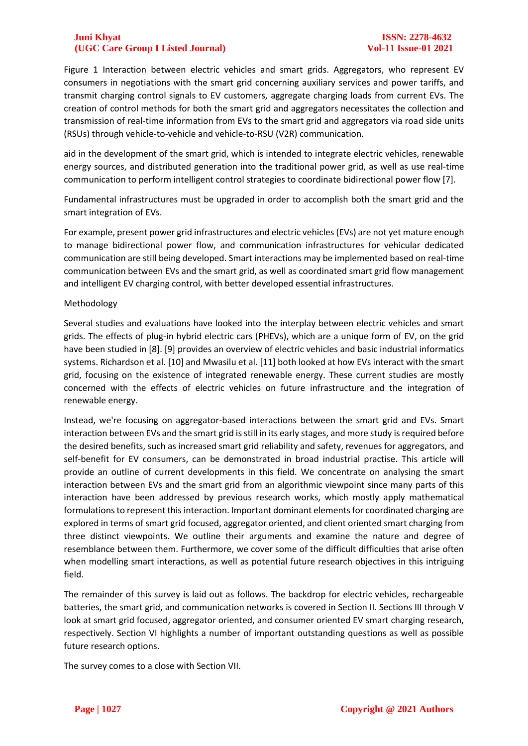Figure 1 Interaction between electric vehicles and smart grids. Aggregators, who represent EV consumers in negotiations with the smart grid concerning auxiliary services and power tariffs, and transmit charging control signals to EV customers, aggregate charging loads from current EVs. The creation of control methods for both the smart grid and aggregators necessitates the collection and transmission of real-time information from EVs to the smart grid and aggregators via road side units (RSUs) through vehicle-to-vehicle and vehicle-to-RSU (V2R) communication.

aid in the development of the smart grid, which is intended to integrate electric vehicles, renewable energy sources, and distributed generation into the traditional power grid, as well as use real-time communication to perform intelligent control strategies to coordinate bidirectional power flow [7].

Fundamental infrastructures must be upgraded in order to accomplish both the smart grid and the smart integration of EVs.

For example, present power grid infrastructures and electric vehicles (EVs) are not yet mature enough to manage bidirectional power flow, and communication infrastructures for vehicular dedicated communication are still being developed. Smart interactions may be implemented based on real-time communication between EVs and the smart grid, as well as coordinated smart grid flow management and intelligent EV charging control, with better developed essential infrastructures.

### Methodology

Several studies and evaluations have looked into the interplay between electric vehicles and smart grids. The effects of plug-in hybrid electric cars (PHEVs), which are a unique form of EV, on the grid have been studied in [8]. [9] provides an overview of electric vehicles and basic industrial informatics systems. Richardson et al. [10] and Mwasilu et al. [11] both looked at how EVs interact with the smart grid, focusing on the existence of integrated renewable energy. These current studies are mostly concerned with the effects of electric vehicles on future infrastructure and the integration of renewable energy.

Instead, we're focusing on aggregator-based interactions between the smart grid and EVs. Smart interaction between EVs and the smart grid is still in its early stages, and more study is required before the desired benefits, such as increased smart grid reliability and safety, revenues for aggregators, and self-benefit for EV consumers, can be demonstrated in broad industrial practise. This article will provide an outline of current developments in this field. We concentrate on analysing the smart interaction between EVs and the smart grid from an algorithmic viewpoint since many parts of this interaction have been addressed by previous research works, which mostly apply mathematical formulations to represent this interaction. Important dominant elements for coordinated charging are explored in terms of smart grid focused, aggregator oriented, and client oriented smart charging from three distinct viewpoints. We outline their arguments and examine the nature and degree of resemblance between them. Furthermore, we cover some of the difficult difficulties that arise often when modelling smart interactions, as well as potential future research objectives in this intriguing field.

The remainder of this survey is laid out as follows. The backdrop for electric vehicles, rechargeable batteries, the smart grid, and communication networks is covered in Section II. Sections III through V look at smart grid focused, aggregator oriented, and consumer oriented EV smart charging research, respectively. Section VI highlights a number of important outstanding questions as well as possible future research options.

The survey comes to a close with Section VII.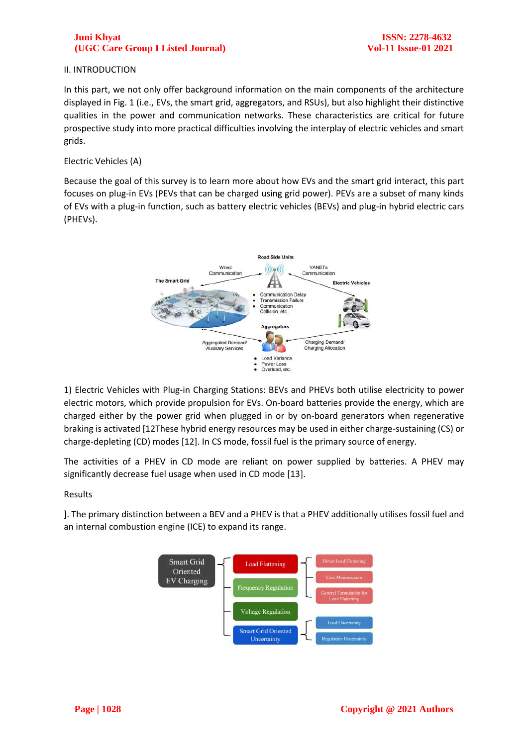#### II. INTRODUCTION

In this part, we not only offer background information on the main components of the architecture displayed in Fig. 1 (i.e., EVs, the smart grid, aggregators, and RSUs), but also highlight their distinctive qualities in the power and communication networks. These characteristics are critical for future prospective study into more practical difficulties involving the interplay of electric vehicles and smart grids.

#### Electric Vehicles (A)

Because the goal of this survey is to learn more about how EVs and the smart grid interact, this part focuses on plug-in EVs (PEVs that can be charged using grid power). PEVs are a subset of many kinds of EVs with a plug-in function, such as battery electric vehicles (BEVs) and plug-in hybrid electric cars (PHEVs).



1) Electric Vehicles with Plug-in Charging Stations: BEVs and PHEVs both utilise electricity to power electric motors, which provide propulsion for EVs. On-board batteries provide the energy, which are charged either by the power grid when plugged in or by on-board generators when regenerative braking is activated [12These hybrid energy resources may be used in either charge-sustaining (CS) or charge-depleting (CD) modes [12]. In CS mode, fossil fuel is the primary source of energy.

The activities of a PHEV in CD mode are reliant on power supplied by batteries. A PHEV may significantly decrease fuel usage when used in CD mode [13].

Results

]. The primary distinction between a BEV and a PHEV is that a PHEV additionally utilises fossil fuel and an internal combustion engine (ICE) to expand its range.

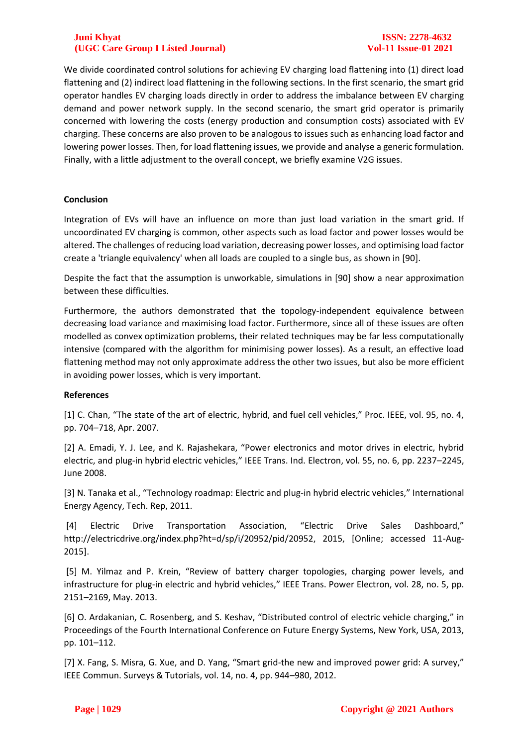We divide coordinated control solutions for achieving EV charging load flattening into (1) direct load flattening and (2) indirect load flattening in the following sections. In the first scenario, the smart grid operator handles EV charging loads directly in order to address the imbalance between EV charging demand and power network supply. In the second scenario, the smart grid operator is primarily concerned with lowering the costs (energy production and consumption costs) associated with EV charging. These concerns are also proven to be analogous to issues such as enhancing load factor and lowering power losses. Then, for load flattening issues, we provide and analyse a generic formulation. Finally, with a little adjustment to the overall concept, we briefly examine V2G issues.

# **Conclusion**

Integration of EVs will have an influence on more than just load variation in the smart grid. If uncoordinated EV charging is common, other aspects such as load factor and power losses would be altered. The challenges of reducing load variation, decreasing power losses, and optimising load factor create a 'triangle equivalency' when all loads are coupled to a single bus, as shown in [90].

Despite the fact that the assumption is unworkable, simulations in [90] show a near approximation between these difficulties.

Furthermore, the authors demonstrated that the topology-independent equivalence between decreasing load variance and maximising load factor. Furthermore, since all of these issues are often modelled as convex optimization problems, their related techniques may be far less computationally intensive (compared with the algorithm for minimising power losses). As a result, an effective load flattening method may not only approximate address the other two issues, but also be more efficient in avoiding power losses, which is very important.

### **References**

[1] C. Chan, "The state of the art of electric, hybrid, and fuel cell vehicles," Proc. IEEE, vol. 95, no. 4, pp. 704–718, Apr. 2007.

[2] A. Emadi, Y. J. Lee, and K. Rajashekara, "Power electronics and motor drives in electric, hybrid electric, and plug-in hybrid electric vehicles," IEEE Trans. Ind. Electron, vol. 55, no. 6, pp. 2237–2245, June 2008.

[3] N. Tanaka et al., "Technology roadmap: Electric and plug-in hybrid electric vehicles," International Energy Agency, Tech. Rep, 2011.

[4] Electric Drive Transportation Association, "Electric Drive Sales Dashboard," http://electricdrive.org/index.php?ht=d/sp/i/20952/pid/20952, 2015, [Online; accessed 11-Aug-2015].

[5] M. Yilmaz and P. Krein, "Review of battery charger topologies, charging power levels, and infrastructure for plug-in electric and hybrid vehicles," IEEE Trans. Power Electron, vol. 28, no. 5, pp. 2151–2169, May. 2013.

[6] O. Ardakanian, C. Rosenberg, and S. Keshav, "Distributed control of electric vehicle charging," in Proceedings of the Fourth International Conference on Future Energy Systems, New York, USA, 2013, pp. 101–112.

[7] X. Fang, S. Misra, G. Xue, and D. Yang, "Smart grid-the new and improved power grid: A survey," IEEE Commun. Surveys & Tutorials, vol. 14, no. 4, pp. 944–980, 2012.